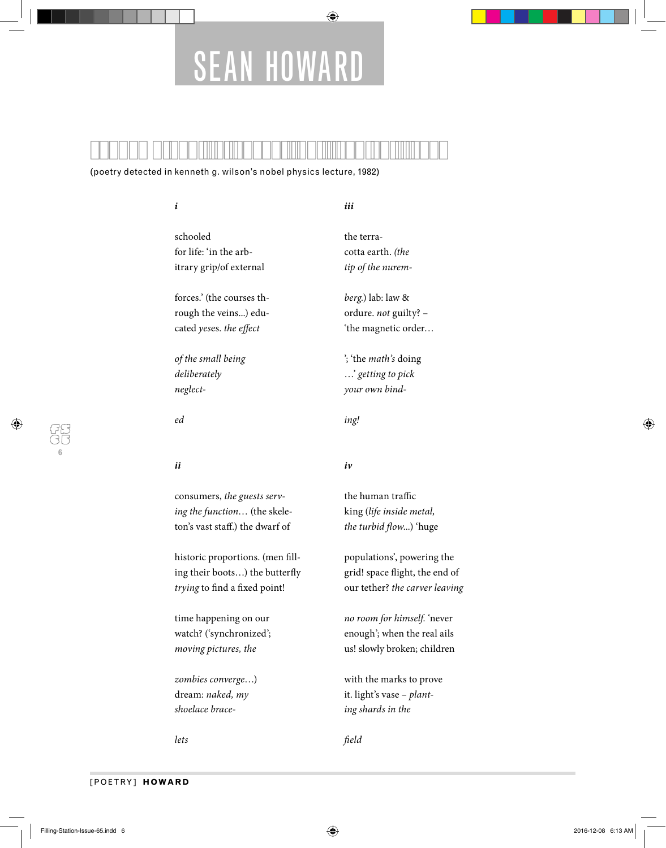# SEAN HOWARD

⊕

(poetry detected in kenneth g. wilson's nobel physics lecture, 1982)

**i** schooled for life: 'in the arbitrary grip/of external forces.' (the courses through the veins...) educated yeses. the effect **iii** the terracotta earth. (the tip of the nuremberg.) lab: law & ordure. not guilty? – 'the magnetic order…

of the small being deliberately neglect-

ed

**ii**

consumers, the guests serving the function… (the skeleton's vast staff.) the dwarf of

historic proportions. (men filling their boots...) the butterfly trying to find a fixed point!

time happening on our watch? ('synchronized'; moving pictures, the

zombies converge…) dream: naked, my shoelace brace-

lets

## **iv**

ing!

the human traffic king (life inside metal, the turbid flow...) 'huge

'; 'the math's doing …' getting to pick your own bind-

populations', powering the grid! space flight, the end of our tether? the carver leaving

no room for himself. 'never enough'; when the real ails us! slowly broken; children

with the marks to prove it. light's vase – planting shards in the

field

**6**

♠

⊕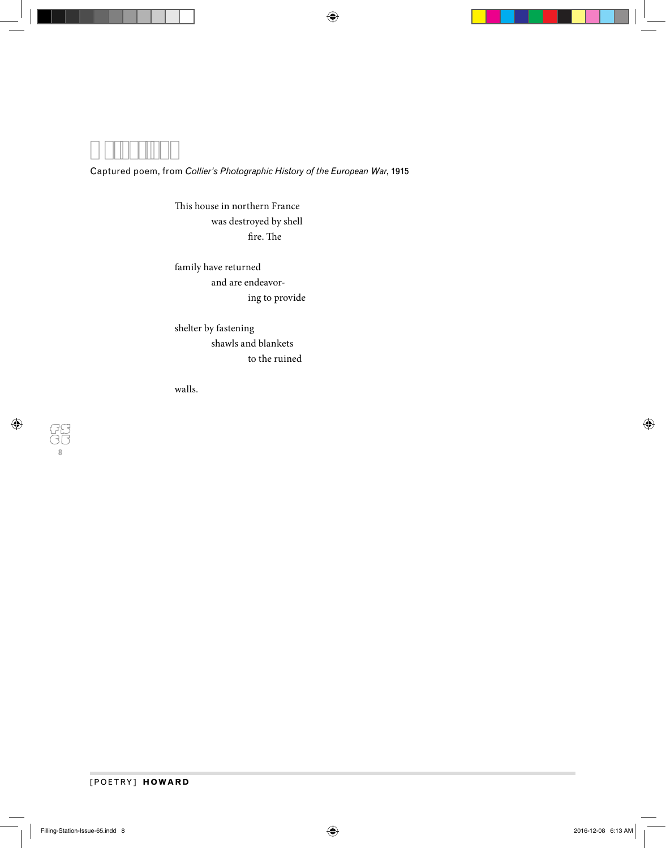$\bigoplus$ 

## Captured poem, from *Collier's Photographic History of the European War*, 1915

This house in northern France was destroyed by shell  $\operatorname{fire.}$  The

family have returned and are endeavor ing to provide

shelter by fastening shawls and blankets to the ruined

walls.

## [POETRY] **HOWARD**

**8**

 $\bigoplus$ 

 $\bigoplus$